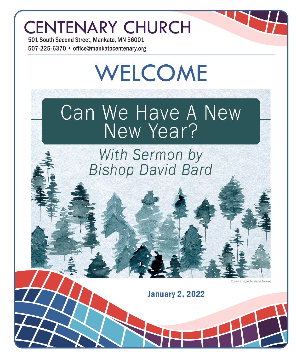## CENTENARY CHURCH

501 South Second Street, Mankato, MN 56001 507-225-6370 • office@mankatocentenary.org

# WELCOME

## Can We Have A New New Year?

## With Sermon by **Bishop David Bard**

*Cover image by Kylie Beran*

January 2, 2022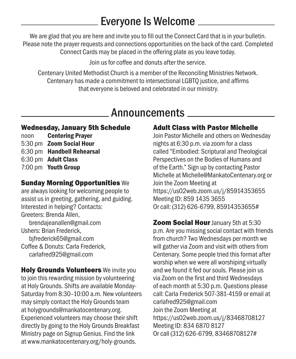## Everyone Is Welcome

We are glad that you are here and invite you to fill out the Connect Card that is in your bulletin. Please note the prayer requests and connections opportunities on the back of the card. Completed Connect Cards may be placed in the offering plate as you leave today.

Join us for coffee and donuts after the service.

Centenary United Methodist Church is a member of the Reconciling Ministries Network. Centenary has made a commitment to intersectional LGBTQ justice, and affirms that everyone is beloved and celebrated in our ministry.

### Announcements

#### Wednesday, January 5th Schedule

noon Centering Prayer 5:30 pm Zoom Social Hour 6:30 pm Handbell Rehearsal 6:30 pm Adult Class 7:00 pm Youth Group

#### Sunday Morning Opportunities We

are always looking for welcoming people to assist us in greeting, gathering, and guiding. Interested in helping? Contacts: Greeters: Brenda Allen, brendajeanallen@gmail.com Ushers: Brian Frederick, bjfrederick65@gmail.com Coffee & Donuts: Carla Frederick, carlafred925@gmail.com

**Holy Grounds Volunteers** We invite you to join this rewarding mission by volunteering at Holy Grounds. Shifts are available Monday-Saturday from 8:30–10:00 a.m. New volunteers may simply contact the Holy Grounds team at holygrounds@mankatocentenary.org. Experienced volunteers may choose their shift directly by going to the Holy Grounds Breakfast Ministry page on Signup Genius. Find the link at www.mankatocentenary.org/holy-grounds.

#### Adult Class with Pastor Michelle

Join Pastor Michelle and others on Wednesday nights at 6:30 p.m. via zoom for a class called "Embodied: Scriptural and Theological Perspectives on the Bodies of Humans and of the Earth." Sign up by contacting Pastor Michelle at Michelle@MankatoCentenary.org or Join the Zoom Meeting at https://us02web.zoom.us/j/85914353655 Meeting ID: 859 1435 3655 Or call: (312) 626-6799, 85914353655#

**Zoom Social Hour January 5th at 5:30** p.m. Are you missing social contact with friends from church? Two Wednesdays per month we will gather via Zoom and visit with others from Centenary. Some people tried this format after worship when we were all worshiping virtually and we found it fed our souls. Please join us via Zoom on the first and third Wednesdays of each month at 5:30 p.m. Questions please call: Carla Frederick 507-381-4159 or email at carlafred925@gmail.com Join the Zoom Meeting at https://us02web.zoom.us/j/83468708127 Meeting ID: 834 6870 8127 Or call (312) 626-6799, 83468708127#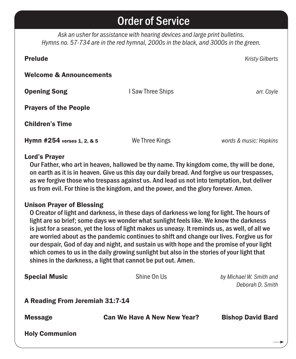## Order of Service

*Ask an usher for assistance with hearing devices and large print bulletins. Hymns no. 57-734 are in the red hymnal, 2000s in the black, and 3000s in the green.*

| <b>Prelude</b>                     |                   | <b>Kristy Gilberts</b> |
|------------------------------------|-------------------|------------------------|
| <b>Welcome &amp; Announcements</b> |                   |                        |
| <b>Opening Song</b>                | I Saw Three Ships | arr. Coyle             |
| <b>Prayers of the People</b>       |                   |                        |
| <b>Children's Time</b>             |                   |                        |
| Hymn #254 verses 1, 2, & 5         | We Three Kings    | words & music: Hopkins |

#### Lord's Prayer

Our Father, who art in heaven, hallowed be thy name. Thy kingdom come, thy will be done, on earth as it is in heaven. Give us this day our daily bread. And forgive us our trespasses, as we forgive those who trespass against us. And lead us not into temptation, but deliver us from evil. For thine is the kingdom, and the power, and the glory forever. Amen.

#### Unison Prayer of Blessing

O Creator of light and darkness, in these days of darkness we long for light. The hours of light are so brief; some days we wonder what sunlight feels like. We know the darkness is just for a season, yet the loss of light makes us uneasy. It reminds us, as well, of all we are worried about as the pandemic continues to shift and change our lives. Forgive us for our despair, God of day and night, and sustain us with hope and the promise of your light which comes to us in the daily growing sunlight but also in the stories of your light that shines in the darkness, a light that cannot be put out. Amen.

| <b>Holy Communion</b>                  |                                                                 |                                             |
|----------------------------------------|-----------------------------------------------------------------|---------------------------------------------|
| <b>Message</b>                         | <b>Can We Have A New New Year?</b>                              | <b>Bishop David Bard</b>                    |
| <b>A Reading From Jeremiah 31:7-14</b> |                                                                 |                                             |
| <b>Special Music</b>                   | Shine On Us                                                     | by Michael W. Smith and<br>Deborah D. Smith |
|                                        | offices in the darkitess, a light that cannot be put out. Amen. |                                             |